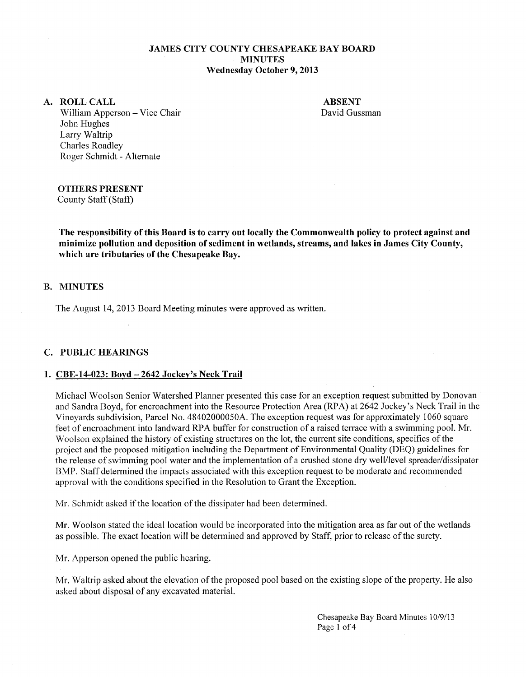# **JAMES CITY COUNTY CHESAPEAKE BAY BOARD MINUTES Wednesday October 9, 2013**

#### **A. ROLLCALL**

**ABSENT**  David Gussman

William Apperson - Vice Chair John Hughes Larry Waltrip Charles Roadley Roger Schmidt - Alternate

# **OTHERS PRESENT**

County Staff (Staff)

**The responsibility of this Board is to carry out locally the Commonwealth policy to protect against and minimize pollution and deposition of sediment in wetlands, streams, and lakes in James City County, which are tributaries of the Chesapeake Bay.** 

# **B. MINUTES**

The August 14, 2013 Board Meeting minutes were approved as written.

# **C. PUBLIC HEARINGS**

#### **1. CBE-14-023: Boyd- 2642 Jockey's Neck Trail**

Michael Woolson Senior Watershed Planner presented this case for an exception request submitted by Donovan and Sandra Boyd, for encroachment into the Resource Protection Area (RPA) at 2642 Jockey's Neck Trail in the Vineyards subdivision, Parcel No. 48402000050A. The exception request was for approximately 1060 square feet of encroachment into landward RPA buffer for construction of a raised terrace with a swimming pool. Mr. Woolson explained the history of existing structures on the lot, the current site conditions, specifics of the project and the proposed mitigation including the Department of Environmental Quality (DEQ) guidelines for the release of swimming pool water and the implementation of a crushed stone dry well/level spreader/dissipater BMP. Staff determined the impacts associated with this exception request to be moderate and recommended approval with the conditions specified in the Resolution to Grant the Exception.

Mr. Schmidt asked if the location of the dissipater had been determined.

Mr. Woolson stated the ideal location would be incorporated into the mitigation area as far out of the wetlands as possible. The exact location will be determined and approved by Staff, prior to release of the surety.

Mr. Apperson opened the public hearing.

Mr. Waltrip asked about the elevation of the proposed pool based on the existing slope of the property. He also asked about disposal of any excavated material.

> Chesapeake Bay Board Minutes 10/9/13 Page 1 of 4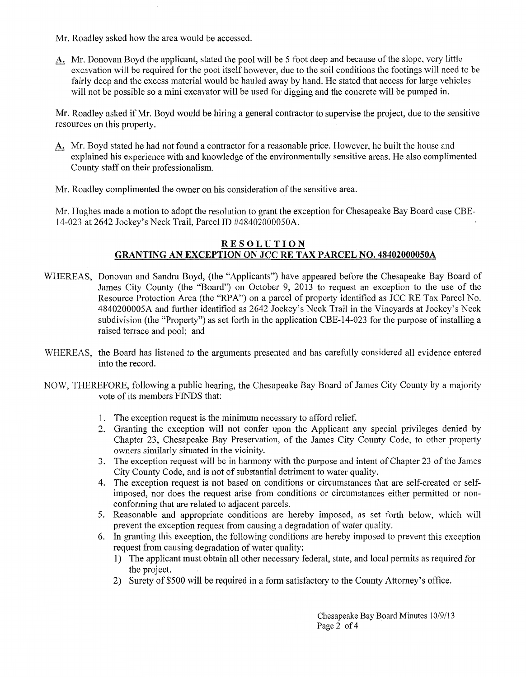- Mr. Roadley asked how the area would be accessed.
- A. Mr. Donovan Boyd the applicant, stated the pool will be 5 foot deep and because of the slope, very little excavation will be required for the pool itself however, due to the soil conditions the footings will need to be fairly deep and the excess material would be hauled away by hand. He stated that access for large vehicles will not be possible so a mini excavator will be used for digging and the concrete will be pumped in.

Mr. Roadley asked if Mr. Boyd would be hiring a general contractor to supervise the project, due to the sensitive resources on this property.

- A. Mr. Boyd stated he had not found a contractor for a reasonable price. However, he built the house and explained his experience with and knowledge of the environmentally sensitive areas. He also complimented County staff on their professionalism.
- Mr. Roadley complimented the owner on his consideration of the sensitive area.

Mr. Hughes made a motion to adopt the resolution to grant the exception for Chesapeake Bay Board case CBE-14-023 at 2642 Jockey's Neck Trail, Parcel ID #48402000050A.

# **RESOLUTION GRANTING AN EXCEPTION ON JCC RE TAX PARCEL NO. 48402000050A**

- WHEREAS, Donovan and Sandra Boyd, (the "Applicants") have appeared before the Chesapeake Bay Board of James City County (the "Board") on October 9, 2013 to request an exception to the use of the Resource Protection Area (the "RPA") on a parcel of property identified as JCC RE Tax Parcel No. 4840200005A and further identified as 2642 Jockey's Neck Trail in the Vineyards at Jockey's Neck subdivision (the "Property") as set forth in the application CBE-14-023 for the purpose of installing a raised terrace and pool; and
- WHEREAS, the Board has listened to the arguments presented and has carefully considered all evidence entered into the record.
- NOW, THEREFORE, following a public hearing, the Chesapeake Bay Board of James City County by a majority vote of its members FINDS that:
	- 1. The exception request is the minimum necessary to afford relief.
	- 2. Granting the exception will not confer upon the Applicant any special privileges denied by Chapter 23, Chesapeake Bay Preservation, of the James City County Code, to other property owners similarly situated in the vicinity.
	- 3. The exception request will be in harmony with the purpose and intent of Chapter 23 of the James City County Code, and is not of substantial detriment to water quality.
	- 4. The exception request is not based on conditions or circumstances that are self-created or selfimposed, nor does the request arise from conditions or circumstances either permitted or nonconforming that are related to adjacent parcels.
	- 5. Reasonable and appropriate conditions are hereby imposed, as set forth below, which will prevent the exception request from causing a degradation of water quality.
	- 6. In granting this exception, the following conditions are hereby imposed to prevent this exception request from causing degradation of water quality:
		- 1) The applicant must obtain all other necessary federal, state, and local permits as required for the project.
		- 2) Surety of\$500 will be required in a form satisfactory to the County Attorney's office.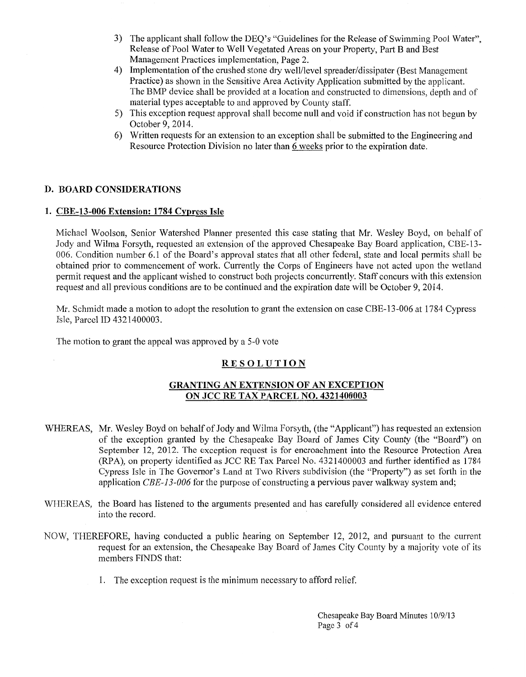- 3) The applicant shall follow the DEQ's "Guidelines for the Release of Swimming Pool Water", Release of Pool Water to Well Vegetated Areas on your Property, Part Band Best Management Practices implementation, Page 2.
- 4) Implementation of the crushed stone dry welVlevel spreader/dissipater (Best Management Practice) as shown in the Sensitive Area Activity Application submitted by the applicant. The BMP device shall be provided at a location and constructed to dimensions, depth and of material types acceptable to and approved by County staff.
- 5) This exception request approval shall become null and void if construction has not begun by October 9, 2014.
- 6) Written requests for an extension to an exception shall be submitted to the Engineering and Resource Protection Division no later than 6 weeks prior to the expiration date.

#### D. BOARD CONSIDERATIONS

#### 1. CBE-13-006 Extension: 1784 Cypress Isle

Michael Woolson, Senior Watershed Planner presented this case stating that Mr. Wesley Boyd, on behalf of Jody and Wilma Forsyth, requested an extension of the approved Chesapeake Bay Board application, CBE-13- 006. Condition number 6.1 of the Board's approval states that all other federal, state and local permits shall be obtained prior to commencement of work. Currently the Corps of Engineers have not acted upon the wetland permit request and the applicant wished to construct both projects concurrently. Staff concurs with this extension request and all previous conditions are to be continued and the expiration date will be October 9, 2014.

Mr. Schmidt made a motion to adopt the resolution to grant the extension on case CBE-13-006 at 1784 Cypress Isle, Parcel ID 4321400003.

The motion to grant the appeal was approved by a 5-0 vote

# RESOLUTION

# GRANTING AN EXTENSION OF AN EXCEPTION ON JCC RE TAX PARCEL NO. 4321400003

- WHEREAS, Mr. Wesley Boyd on behalf of Jody and Wilma Forsyth, (the "Applicant") has requested an extension of the exception granted by the Chesapeake Bay Board of James City County (the "Board") on September 12, 2012. The exception request is for encroachment into the Resource Protection Area (RPA), on property identified as JCC RE Tax Parcel No. 4321400003 and further identified as 1784 Cypress Isle in The Governor's Land at Two Rivers subdivision (the "Property") as set forth in the application *CBE-13-006* for the purpose of constructing a pervious paver walkway system and;
- WHEREAS, the Board has listened to the arguments presented and has carefully considered all evidence entered into the record.
- NOW, THEREFORE, having conducted a public hearing on September 12, 2012, and pursuant to the current request for an extension, the Chesapeake Bay Board of James City County by a majority vote of its members FINDS that:
	- 1. The exception request is the minimum necessary to afford relief.